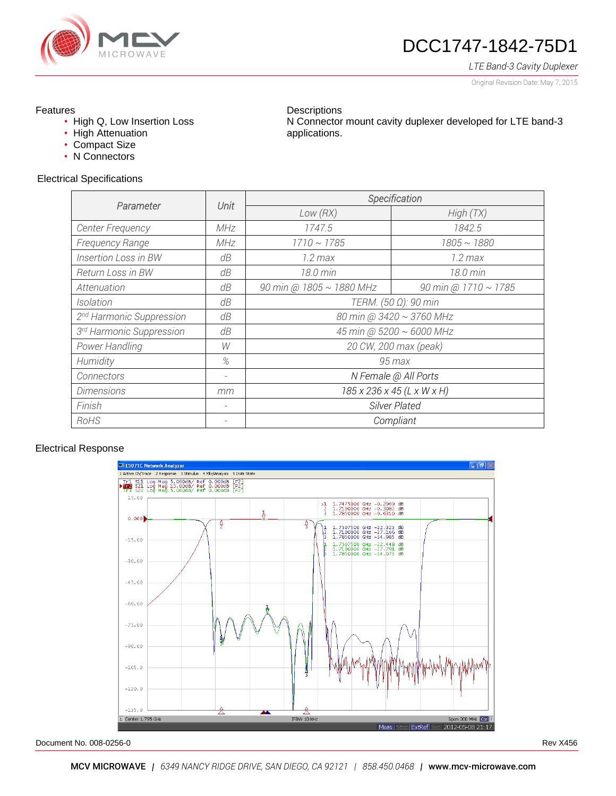

# DCC1747-1842-75D1

N Connector mount cavity duplexer developed for LTE band-3

#### *LTE Band-3 Cavity Duplexer*

Original Revision Date: May 7, 2015

## Features

- High Q, Low Insertion Loss
- High Attenuation
- Compact Size
- N Connectors

#### Electrical Specifications

| Parameter                            | Unit | Specification              |                           |
|--------------------------------------|------|----------------------------|---------------------------|
|                                      |      | Low(RX)                    | High(TX)                  |
| Center Frequency                     | MHz  | 1747.5                     | 1842.5                    |
| <b>Frequency Range</b>               | MHz  | $1710 \sim 1785$           | $1805 \sim 1880$          |
| <b>Insertion Loss in BW</b>          | dB   | $1.2$ max                  | $1.2$ max                 |
| <b>Return Loss in BW</b>             | dB   | 18.0 min                   | 18.0 min                  |
| Attenuation                          | dB   | 90 min @ 1805 ~ 1880 MHz   | 90 min @ $1710 \sim 1785$ |
| Isolation                            | dB   | TERM. (50 Ω): 90 min       |                           |
| 2 <sup>nd</sup> Harmonic Suppression | dB   | 80 min @ 3420 ~ 3760 MHz   |                           |
| 3 <sup>rd</sup> Harmonic Suppression | dB   | 45 min @ 5200 ~ 6000 MHz   |                           |
| Power Handling                       | W    | 20 CW, 200 max (peak)      |                           |
| Humidity                             | %    | 95 max                     |                           |
| Connectors                           | -    | N Female @ All Ports       |                           |
| <b>Dimensions</b>                    | mm   | 185 x 236 x 45 (L x W x H) |                           |
| Finish                               | -    | Silver Plated              |                           |
| RoHS                                 |      | Compliant                  |                           |

**Descriptions** 

applications.

## Electrical Response



Document No. 008-0256-0 Rev X456